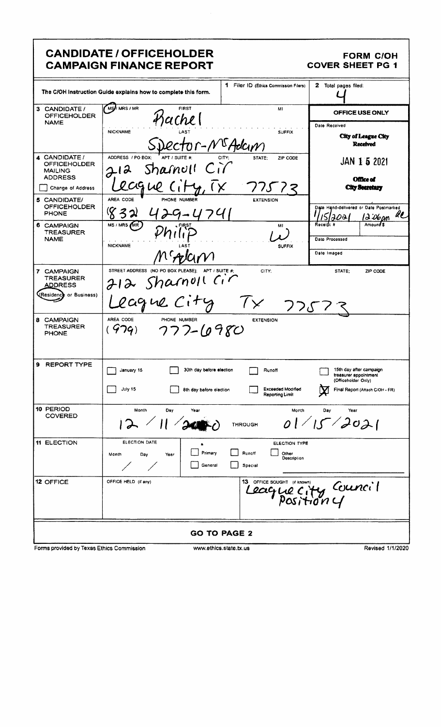|                                                                          | <b>CANDIDATE / OFFICEHOLDER</b><br><b>CAMPAIGN FINANCE REPORT</b>     |                                                            | <b>FORM C/OH</b><br><b>COVER SHEET PG 1</b>                             |
|--------------------------------------------------------------------------|-----------------------------------------------------------------------|------------------------------------------------------------|-------------------------------------------------------------------------|
|                                                                          | The C/OH Instruction Guide explains how to complete this form.        | 1 Filer ID (Ethics Commission Filers)                      | 2 Total pages filed:                                                    |
| 3 CANDIDATE /<br><b>OFFICEHOLDER</b>                                     | <b>MS</b> //MRS/MR<br><b>FIRST</b><br>ichel                           | MI                                                         | OFFICE USE ONLY                                                         |
| <b>NAME</b>                                                              | <b>NICKNAME</b>                                                       | <b>SUFFIX</b><br>Or-N <sup>G</sup> Adcin                   | Date Received<br><b>City of League City</b><br><b>Received</b>          |
| 4 CANDIDATE /<br><b>OFFICEHOLDER</b><br><b>MAILING</b><br><b>ADDRESS</b> | ADDRESS / PO BOX:<br>Shamoll<br>212                                   | ZIP CODE<br>CITY:<br>STATE:                                | JAN 1 5 2021<br><b>Office of</b>                                        |
| Change of Address                                                        | lague                                                                 | 775                                                        | <b>City Secretary</b>                                                   |
| 5 CANDIDATE/<br><b>OFFICEHOLDER</b><br><b>PHONE</b>                      | AREA CODE<br>PHONE NUMBER<br>-4741                                    | <b>EXTENSION</b>                                           | Date Hand-delivered or Date Postmarked<br>u<br>l Ə :Obom                |
| 6 CAMPAIGN<br><b>TREASURER</b><br><b>NAME</b>                            | MS/MRS/MR)<br><b>NICKNAME</b>                                         | MI<br><b>SUFFIX</b>                                        | Receiól A<br>Amoun <b>i S</b><br>Date Processed                         |
|                                                                          |                                                                       |                                                            | Date Imaged                                                             |
| 7 CAMPAIGN<br><b>TREASURER</b><br>ADDRESS                                | STREET ADDRESS (NO PO BOX PLEASE); APT / SUITE #:<br>212 Sharnoll Cir | CITY:                                                      | STATE:<br>ZIP CODE                                                      |
| (Residence or Business)                                                  | eague City                                                            | つつぶ                                                        |                                                                         |
| 8 CAMPAIGN<br><b>TREASURER</b><br><b>PHONE</b>                           | AREA CODE<br>PHONE NUMBER<br>$(979) 777 - (0980)$                     | <b>EXTENSION</b>                                           |                                                                         |
| 9.<br><b>REPORT TYPE</b>                                                 | 30th day before election<br>January 15                                | Runoff                                                     | 15th day after campaign<br>treasurer appointment<br>(Officeholder Only) |
|                                                                          | July 15<br>8th day before election                                    | Exceeded Modified<br><b>Reporting Limit</b>                | Final Report (Attach C/OH - FR)                                         |
| 10 PERIOD<br><b>COVERED</b>                                              | Month<br>Day<br>Year                                                  | Month<br><b>THROUGH</b>                                    | Day<br>Year<br>01/15/2021                                               |
| <b>11 ELECTION</b>                                                       | ELECTION DATE<br>٠<br>Primary<br>Month<br>Day<br>Year<br>General      | ELECTION TYPE<br>Runoff<br>Other<br>Description<br>Special |                                                                         |
| 12 OFFICE                                                                | OFFICE HELD (if any)                                                  | 13 OFFICE SOUGHT (if known)                                | eague city Council                                                      |
|                                                                          |                                                                       | <b>GO TO PAGE 2</b>                                        |                                                                         |
| Forms provided by Texas Ethics Commission                                |                                                                       | www.ethics.state.tx.us                                     | Revised 1/1/2020                                                        |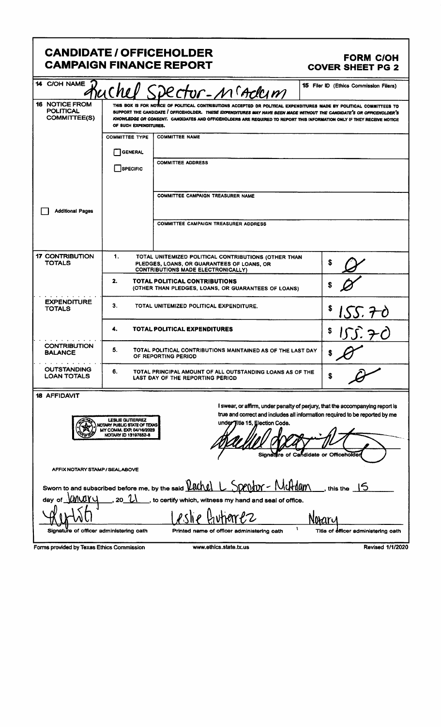|                                                              | <b>CANDIDATE / OFFICEHOLDER</b><br><b>CAMPAIGN FINANCE REPORT</b>                                                                                                                                                                                                                                           | <b>FORM C/OH</b><br><b>COVER SHEET PG 2</b>                                                                                                                  |
|--------------------------------------------------------------|-------------------------------------------------------------------------------------------------------------------------------------------------------------------------------------------------------------------------------------------------------------------------------------------------------------|--------------------------------------------------------------------------------------------------------------------------------------------------------------|
| 14 C/OH NAME<br>16 NOTICE FROM                               | "Ruchel Spectur-Maderm<br>THIS BOX IS FOR NOTICE OF POLITICAL CONTRIBUTIONS ACCEPTED OR POLITICAL EXPENDITURES MADE BY POLITICAL COMMITTEES                                                                                                                                                                 | 15 Filer ID (Ethics Commission Filers)                                                                                                                       |
| POLITICAL<br>COMMITTEE(S)                                    | SUPPORT THE CANDIDATE I OFFICEHOLDER. THESE EXPENDITURES MAY HAVE BEEN MADE WITHOUT THE CANDIDATE'S OR OFFICEHOLDER'S<br>KNOWLEDGE OR CONSENT. CANDIDATES AND OFFICEHOLDERS ARE REQUIRED TO REPORT THIS INFORMATION ONLY IF THEY RECEIVE NOTICE<br>OF SUCH EXPENDITURES.<br>COMMITTEE TYPE   COMMITTEE NAME |                                                                                                                                                              |
|                                                              | GENERAL<br><b>COMMITTEE ADDRESS</b>                                                                                                                                                                                                                                                                         |                                                                                                                                                              |
|                                                              | $\Box$ SPECIFIC                                                                                                                                                                                                                                                                                             |                                                                                                                                                              |
| Additional Pages                                             | COMMITTEE CAMPAIGN TREASURER NAME<br>COMMITTEE CAMPAIGN TREASURER ADDRESS                                                                                                                                                                                                                                   |                                                                                                                                                              |
|                                                              |                                                                                                                                                                                                                                                                                                             |                                                                                                                                                              |
| <b>17 CONTRIBUTION</b><br><b>TOTALS</b>                      | TOTAL UNITEMIZED POLITICAL CONTRIBUTIONS (OTHER THAN<br>PLEDGES, LOANS, OR GUARANTEES OF LOANS, OR<br>CONTRIBUTIONS MADE ELECTRONICALLY)<br>TOTAL POLITICAL CONTRIBUTIONS                                                                                                                                   | $\curvearrowright$                                                                                                                                           |
| EXPENDITUR<br><b>TOTALS</b>                                  | (OTHER THAN PLEDGES, LOANS, OR GUARANTEES OF LOANS)<br>TOTAL UNITEMIZED POLITICAL EXPENDITURE.                                                                                                                                                                                                              | 5155.70                                                                                                                                                      |
| .                                                            | TOTAL POLITICAL EXPENDITURES                                                                                                                                                                                                                                                                                | 155.70                                                                                                                                                       |
| <b>CONTRIBUTION</b><br><b>BALANCE</b>                        | TOTAL POLITICAL CONTRIBUTIONS MAINTAINED AS OF THE LAST DAY                                                                                                                                                                                                                                                 | $\mathscr{O}$                                                                                                                                                |
| <b>OUTSTANDING<br/>LOAN TOTALS</b>                           | TOTAL PRINCIPAL AMOUNT OF ALL OUTSTANDING LOANS AS OF THE<br>LAST DAY OF THE REPORTING PERIOD                                                                                                                                                                                                               |                                                                                                                                                              |
| 18 AFFIDAVIT                                                 | under Title 15, Election Code.                                                                                                                                                                                                                                                                              | I swear, or affirm, under penalty of perjury, that the accompanying report is<br>true and correct and includes all information required to be reported by me |
|                                                              | LESLIE GUTTERREZ<br>NOTARY PUBLIC STATE OF TEXAS<br>MY COMM. EXP. 04/10/2023<br>NOTARY ID 13197852-8                                                                                                                                                                                                        | $\sqrt{2}$<br>mattre of Candidate or Officehold                                                                                                              |
| AFFIX NOTARY STAMP / SEALABOVE                               |                                                                                                                                                                                                                                                                                                             |                                                                                                                                                              |
| day of $\underline{\text{MMUV}}$ , 20 $\underline{\text{U}}$ | Sworn to and subscribed before me, by the said <b>Lachel L</b> Spentor - McHdam ___, this the 15<br>s to certify which, witness my hand and seal of office.                                                                                                                                                 |                                                                                                                                                              |
| Signature of officer administering oath                      | <u>Leslie</u> Gutierez<br>Printed name of officer administering oath                                                                                                                                                                                                                                        | งฌฑฑ<br>1.24<br>Title of officer administering oath                                                                                                          |
| Forms provided by Texas Ethics Commission                    | www.ethics.state.tx.us                                                                                                                                                                                                                                                                                      | Revised 1/1/2020                                                                                                                                             |
|                                                              |                                                                                                                                                                                                                                                                                                             |                                                                                                                                                              |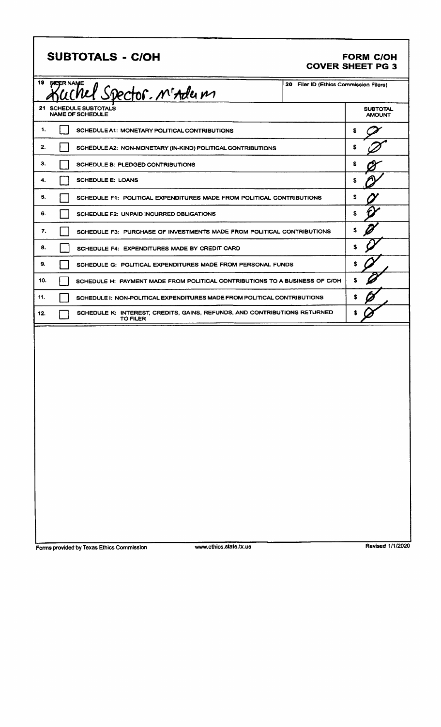| <b>SUBTOTALS - C/OH</b> |  |
|-------------------------|--|
|-------------------------|--|

## **FORM C/OH COVER SHEET PG 3**

| 19<br><b><i>GICER NAME</i></b><br>20<br>uchel Spector. M'Adem |                                                                                              |                                  | Filer ID (Ethics Commission Filers) |  |
|---------------------------------------------------------------|----------------------------------------------------------------------------------------------|----------------------------------|-------------------------------------|--|
| 21 SCHEDULE SUBTOTALS<br><b>NAME OF SCHEDULE</b>              |                                                                                              | <b>SUBTOTAL</b><br><b>AMOUNT</b> |                                     |  |
| 1.                                                            | SCHEDULE A1: MONETARY POLITICAL CONTRIBUTIONS                                                |                                  | s                                   |  |
| 2.                                                            | SCHEDULE A2: NON-MONETARY (IN-KIND) POLITICAL CONTRIBUTIONS                                  |                                  | S                                   |  |
| з.                                                            | SCHEDULE B: PLEDGED CONTRIBUTIONS                                                            |                                  | S                                   |  |
| <b>SCHEDULE E: LOANS</b><br>4.                                |                                                                                              | S                                |                                     |  |
| 5.                                                            | SCHEDULE F1: POLITICAL EXPENDITURES MADE FROM POLITICAL CONTRIBUTIONS                        |                                  | s                                   |  |
| 6.                                                            | <b>SCHEDULE F2: UNPAID INCURRED OBLIGATIONS</b>                                              |                                  | \$                                  |  |
| 7.                                                            | SCHEDULE F3: PURCHASE OF INVESTMENTS MADE FROM POLITICAL CONTRIBUTIONS                       |                                  | s                                   |  |
| 8.                                                            | SCHEDULE F4: EXPENDITURES MADE BY CREDIT CARD                                                |                                  | S                                   |  |
| 9.                                                            | SCHEDULE G: POLITICAL EXPENDITURES MADE FROM PERSONAL FUNDS                                  |                                  | \$                                  |  |
| 10.                                                           | SCHEDULE H: PAYMENT MADE FROM POLITICAL CONTRIBUTIONS TO A BUSINESS OF C/OH                  |                                  | S                                   |  |
| 11.                                                           | SCHEDULE I: NON-POLITICAL EXPENDITURES MADE FROM POLITICAL CONTRIBUTIONS                     |                                  | s.                                  |  |
| 12.                                                           | SCHEDULE K: INTEREST, CREDITS, GAINS, REFUNDS, AND CONTRIBUTIONS RETURNED<br><b>TO FILER</b> |                                  |                                     |  |
|                                                               |                                                                                              |                                  |                                     |  |

Forms provided by Texas Ethics Commission

www.ethics.state.tx.us

Revised 1/1/2020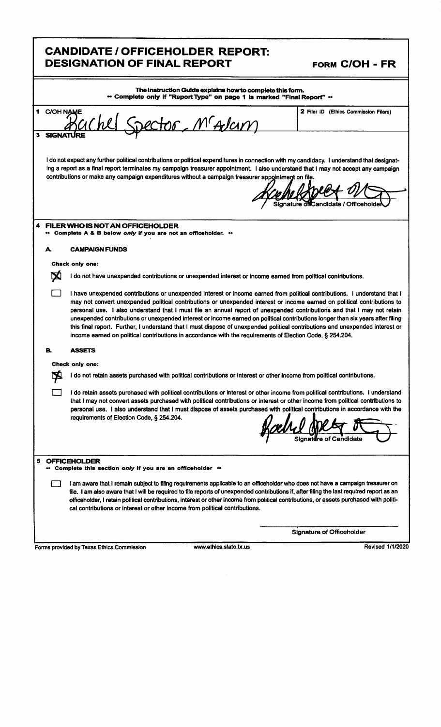|                                                                                                                                    | <b>CANDIDATE/OFFICEHOLDER REPORT:</b><br><b>DESIGNATION OF FINAL REPORT</b>                                                                                                                                                                                                                                                                                                                                                                                                                                                                                                                                                                                                                                                                                      | FORM C/OH - FR                        |  |  |
|------------------------------------------------------------------------------------------------------------------------------------|------------------------------------------------------------------------------------------------------------------------------------------------------------------------------------------------------------------------------------------------------------------------------------------------------------------------------------------------------------------------------------------------------------------------------------------------------------------------------------------------------------------------------------------------------------------------------------------------------------------------------------------------------------------------------------------------------------------------------------------------------------------|---------------------------------------|--|--|
| The Instruction Guide explains how to complete this form.<br>" Complete only if "Report Type" on page 1 is marked "Final Report" " |                                                                                                                                                                                                                                                                                                                                                                                                                                                                                                                                                                                                                                                                                                                                                                  |                                       |  |  |
| 1 C/OH NAME                                                                                                                        | Spector, M'Adam                                                                                                                                                                                                                                                                                                                                                                                                                                                                                                                                                                                                                                                                                                                                                  | 2 Filer ID (Ethics Commission Filers) |  |  |
|                                                                                                                                    | I do not expect any further political contributions or political expenditures in connection with my candidacy. I understand that designat-<br>ing a report as a final report terminates my campaign treasurer appointment. I also understand that I may not accept any campaign<br>contributions or make any campaign expenditures without a campaign treasurer appointment on file.                                                                                                                                                                                                                                                                                                                                                                             | Candidate / Officehold                |  |  |
| 4                                                                                                                                  | FILER WHO IS NOT AN OFFICEHOLDER<br>" Complete A & B below only if you are not an officeholder. "                                                                                                                                                                                                                                                                                                                                                                                                                                                                                                                                                                                                                                                                |                                       |  |  |
| А.                                                                                                                                 | <b>CAMPAIGN FUNDS</b>                                                                                                                                                                                                                                                                                                                                                                                                                                                                                                                                                                                                                                                                                                                                            |                                       |  |  |
|                                                                                                                                    | Check only one:                                                                                                                                                                                                                                                                                                                                                                                                                                                                                                                                                                                                                                                                                                                                                  |                                       |  |  |
| ⊠                                                                                                                                  | I do not have unexpended contributions or unexpended interest or income earned from political contributions.                                                                                                                                                                                                                                                                                                                                                                                                                                                                                                                                                                                                                                                     |                                       |  |  |
|                                                                                                                                    | I have unexpended contributions or unexpended interest or income earned from political contributions. I understand that I<br>may not convert unexpended political contributions or unexpended interest or income earned on political contributions to<br>personal use. I also understand that I must file an annual report of unexpended contributions and that I may not retain<br>unexpended contributions or unexpended interest or income earned on political contributions longer than six years after filing<br>this final report. Further, I understand that I must dispose of unexpended political contributions and unexpended interest or<br>income earned on political contributions in accordance with the requirements of Election Code, § 254.204. |                                       |  |  |
| В.                                                                                                                                 | <b>ASSETS</b>                                                                                                                                                                                                                                                                                                                                                                                                                                                                                                                                                                                                                                                                                                                                                    |                                       |  |  |
|                                                                                                                                    | Check only one:                                                                                                                                                                                                                                                                                                                                                                                                                                                                                                                                                                                                                                                                                                                                                  |                                       |  |  |
|                                                                                                                                    | I do not retain assets purchased with political contributions or interest or other income from political contributions.                                                                                                                                                                                                                                                                                                                                                                                                                                                                                                                                                                                                                                          |                                       |  |  |
|                                                                                                                                    | I do retain assets purchased with political contributions or interest or other income from political contributions. I understand<br>that I may not convert assets purchased with political contributions or interest or other income from political contributions to<br>personal use. I also understand that I must dispose of assets purchased with political contributions in accordance with the<br>requirements of Election Code, § 254.204.                                                                                                                                                                                                                                                                                                                 |                                       |  |  |
| 5                                                                                                                                  | <b>OFFICEHOLDER</b><br>Complete this section only if you are an officeholder **                                                                                                                                                                                                                                                                                                                                                                                                                                                                                                                                                                                                                                                                                  |                                       |  |  |
|                                                                                                                                    | I am aware that I remain subject to filing requirements applicable to an officeholder who does not have a campaign treasurer on<br>file. I am also aware that I will be required to file reports of unexpended contributions if, after filing the last required report as an<br>officeholder, I retain political contributions, interest or other income from political contributions, or assets purchased with politi-<br>cal contributions or interest or other income from political contributions.                                                                                                                                                                                                                                                           |                                       |  |  |
|                                                                                                                                    |                                                                                                                                                                                                                                                                                                                                                                                                                                                                                                                                                                                                                                                                                                                                                                  |                                       |  |  |
|                                                                                                                                    |                                                                                                                                                                                                                                                                                                                                                                                                                                                                                                                                                                                                                                                                                                                                                                  | <b>Signature of Officeholder</b>      |  |  |

٦

r